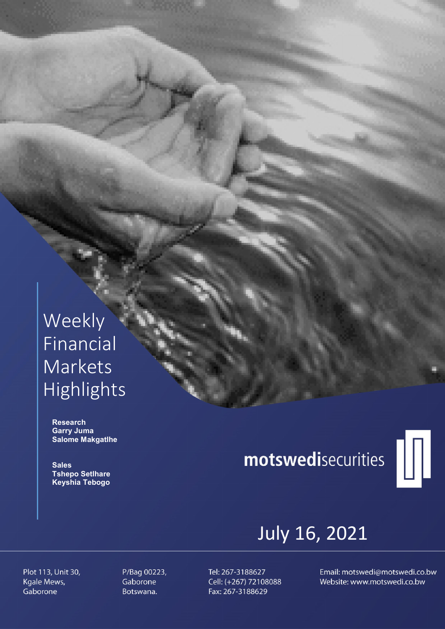# Weekly Financial Markets Highlights

 Research Garry Juma Salome Makgatlhe

**Sales**  Tshepo Setlhare Keyshia Tebogo

# motswedisecurities



# July 16, 2021

Plot 113, Unit 30, Kgale Mews, Gaborone

P/Bag 00223, Gaborone Botswana.

Tel: 267-3188627 Cell: (+267) 72108088 Fax: 267-3188629

Email: motswedi@motswedi.co.bw Website: www.motswedi.co.bw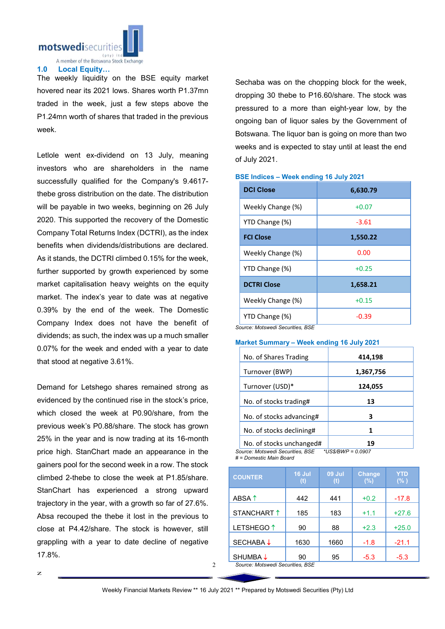

### 1.0 Local Equity…

The weekly liquidity on the BSE equity market hovered near its 2021 lows. Shares worth P1.37mn traded in the week, just a few steps above the P1.24mn worth of shares that traded in the previous week.

Letlole went ex-dividend on 13 July, meaning investors who are shareholders in the name successfully qualified for the Company's 9.4617 thebe gross distribution on the date. The distribution will be payable in two weeks, beginning on 26 July 2020. This supported the recovery of the Domestic Company Total Returns Index (DCTRI), as the index benefits when dividends/distributions are declared. As it stands, the DCTRI climbed 0.15% for the week, further supported by growth experienced by some market capitalisation heavy weights on the equity market. The index's year to date was at negative 0.39% by the end of the week. The Domestic Company Index does not have the benefit of dividends; as such, the index was up a much smaller 0.07% for the week and ended with a year to date that stood at negative 3.61%.

Demand for Letshego shares remained strong as evidenced by the continued rise in the stock's price, which closed the week at P0.90/share, from the previous week's P0.88/share. The stock has grown 25% in the year and is now trading at its 16-month price high. StanChart made an appearance in the gainers pool for the second week in a row. The stock climbed 2-thebe to close the week at P1.85/share. StanChart has experienced a strong upward trajectory in the year, with a growth so far of 27.6%. Absa recouped the thebe it lost in the previous to close at P4.42/share. The stock is however, still grappling with a year to date decline of negative 17.8%.

Sechaba was on the chopping block for the week, dropping 30 thebe to P16.60/share. The stock was pressured to a more than eight-year low, by the ongoing ban of liquor sales by the Government of Botswana. The liquor ban is going on more than two weeks and is expected to stay until at least the end of July 2021.

## DCI Close 6,630.79 Weekly Change  $(\%)$   $|$   $+0.07$  $YTD$  Change  $(\%)$   $\qquad \qquad$   $\qquad -3.61$ **FCI Close** 1,550.22 Weekly Change (%) and the control of the one of the one of the one of the one of the one of the one of the one of the one of the one of the one of the one of the one of the one of the one of the one of the one of the one o YTD Change  $(\%)$   $+0.25$ DCTRI Close 2012 1.658.21 Weekly Change  $(%)$   $|$   $+0.15$  $YTD$  Change  $(\%)$   $\qquad \qquad$  -0.39

#### BSE Indices – Week ending 16 July 2021

*Source: Motswedi Securities, BSE*

#### Market Summary – Week ending 16 July 2021

| No. of Shares Trading    | 414,198   |
|--------------------------|-----------|
| Turnover (BWP)           | 1,367,756 |
| Turnover (USD)*          | 124,055   |
| No. of stocks trading#   | 13        |
| No. of stocks advancing# | 3         |
| No. of stocks declining# | 1         |
| No. of stocks unchanged# |           |

*Source: Motswedi Securities, BSE \*US\$/BWP = 0.0907 # = Domestic Main Board*

| <b>COUNTER</b>        | 16 Jul<br>(t)                                                     | <b>09 Jul</b><br>(t) | <b>Change</b><br>(%) | <b>YTD</b><br>(% ) |
|-----------------------|-------------------------------------------------------------------|----------------------|----------------------|--------------------|
| ABSA <sup>1</sup>     | 442                                                               | 441                  | $+0.2$               | $-17.8$            |
| STANCHART 1           | 185                                                               | 183                  | $+1.1$               | $+27.6$            |
| LETSHEGO <sup>1</sup> | 90                                                                | 88                   | $+2.3$               | $+25.0$            |
| <b>SECHABA↓</b>       | 1630                                                              | 1660                 | $-1.8$               | $-21.1$            |
| SHUMBA ↓              | 90<br>$\mathcal{A}$ and $\mathcal{A}$ and $\mathcal{A}$<br>$\sim$ | 95                   | $-5.3$               | $-5.3$             |

*Source: Motswedi Securities, BSE* 

 $\mathfrak{D}$ 

z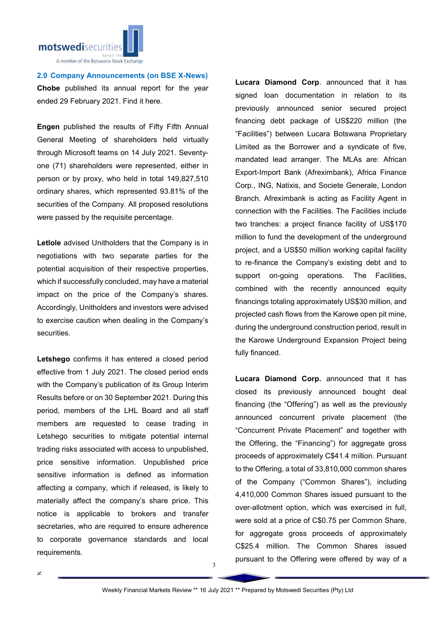

2.0 Company Announcements (on BSE X-News) Chobe published its annual report for the year ended 29 February 2021. Find it here.

Engen published the results of Fifty Fifth Annual General Meeting of shareholders held virtually through Microsoft teams on 14 July 2021. Seventyone (71) shareholders were represented, either in person or by proxy, who held in total 149,827,510 ordinary shares, which represented 93.81% of the securities of the Company. All proposed resolutions were passed by the requisite percentage.

Letlole advised Unitholders that the Company is in negotiations with two separate parties for the potential acquisition of their respective properties, which if successfully concluded, may have a material impact on the price of the Company's shares. Accordingly, Unitholders and investors were advised to exercise caution when dealing in the Company's securities.

Letshego confirms it has entered a closed period effective from 1 July 2021. The closed period ends with the Company's publication of its Group Interim Results before or on 30 September 2021. During this period, members of the LHL Board and all staff members are requested to cease trading in Letshego securities to mitigate potential internal trading risks associated with access to unpublished, price sensitive information. Unpublished price sensitive information is defined as information affecting a company, which if released, is likely to materially affect the company's share price. This notice is applicable to brokers and transfer secretaries, who are required to ensure adherence to corporate governance standards and local requirements.

Lucara Diamond Corp. announced that it has signed loan documentation in relation to its previously announced senior secured project financing debt package of US\$220 million (the "Facilities") between Lucara Botswana Proprietary Limited as the Borrower and a syndicate of five, mandated lead arranger. The MLAs are: African Export-Import Bank (Afreximbank), Africa Finance Corp., ING, Natixis, and Societe Generale, London Branch. Afreximbank is acting as Facility Agent in connection with the Facilities. The Facilities include two tranches: a project finance facility of US\$170 million to fund the development of the underground project, and a US\$50 million working capital facility to re-finance the Company's existing debt and to support on-going operations. The Facilities, combined with the recently announced equity financings totaling approximately US\$30 million, and projected cash flows from the Karowe open pit mine, during the underground construction period, result in the Karowe Underground Expansion Project being fully financed.

Lucara Diamond Corp. announced that it has closed its previously announced bought deal financing (the "Offering") as well as the previously announced concurrent private placement (the "Concurrent Private Placement" and together with the Offering, the "Financing") for aggregate gross proceeds of approximately C\$41.4 million. Pursuant to the Offering, a total of 33,810,000 common shares of the Company ("Common Shares"), including 4,410,000 Common Shares issued pursuant to the over-allotment option, which was exercised in full, were sold at a price of C\$0.75 per Common Share, for aggregate gross proceeds of approximately C\$25.4 million. The Common Shares issued pursuant to the Offering were offered by way of a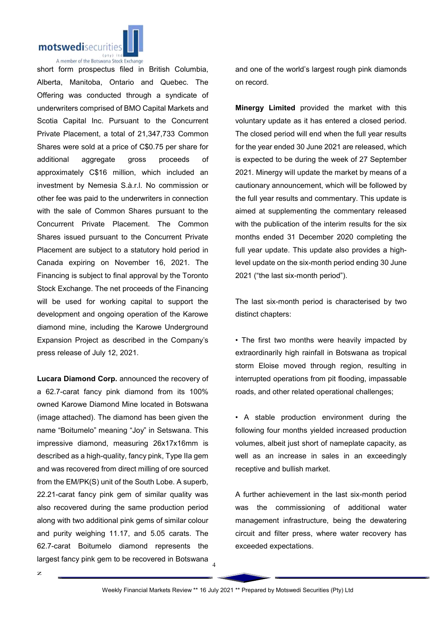

A member of the Botswana Stock Exchange short form prospectus filed in British Columbia, Alberta, Manitoba, Ontario and Quebec. The Offering was conducted through a syndicate of underwriters comprised of BMO Capital Markets and Scotia Capital Inc. Pursuant to the Concurrent Private Placement, a total of 21,347,733 Common Shares were sold at a price of C\$0.75 per share for additional aggregate gross proceeds of approximately C\$16 million, which included an investment by Nemesia S.à.r.l. No commission or other fee was paid to the underwriters in connection with the sale of Common Shares pursuant to the Concurrent Private Placement. The Common Shares issued pursuant to the Concurrent Private Placement are subject to a statutory hold period in Canada expiring on November 16, 2021. The Financing is subject to final approval by the Toronto Stock Exchange. The net proceeds of the Financing will be used for working capital to support the development and ongoing operation of the Karowe diamond mine, including the Karowe Underground Expansion Project as described in the Company's press release of July 12, 2021.

Lucara Diamond Corp. announced the recovery of a 62.7-carat fancy pink diamond from its 100% owned Karowe Diamond Mine located in Botswana (image attached). The diamond has been given the name "Boitumelo" meaning "Joy" in Setswana. This impressive diamond, measuring 26x17x16mm is described as a high-quality, fancy pink, Type IIa gem and was recovered from direct milling of ore sourced from the EM/PK(S) unit of the South Lobe. A superb, 22.21-carat fancy pink gem of similar quality was also recovered during the same production period along with two additional pink gems of similar colour and purity weighing 11.17, and 5.05 carats. The 62.7-carat Boitumelo diamond represents the largest fancy pink gem to be recovered in Botswana and one of the world's largest rough pink diamonds on record.

Minergy Limited provided the market with this voluntary update as it has entered a closed period. The closed period will end when the full year results for the year ended 30 June 2021 are released, which is expected to be during the week of 27 September 2021. Minergy will update the market by means of a cautionary announcement, which will be followed by the full year results and commentary. This update is aimed at supplementing the commentary released with the publication of the interim results for the six months ended 31 December 2020 completing the full year update. This update also provides a highlevel update on the six-month period ending 30 June 2021 ("the last six-month period").

The last six-month period is characterised by two distinct chapters:

• The first two months were heavily impacted by extraordinarily high rainfall in Botswana as tropical storm Eloise moved through region, resulting in interrupted operations from pit flooding, impassable roads, and other related operational challenges;

• A stable production environment during the following four months yielded increased production volumes, albeit just short of nameplate capacity, as well as an increase in sales in an exceedingly receptive and bullish market.

A further achievement in the last six-month period was the commissioning of additional water management infrastructure, being the dewatering circuit and filter press, where water recovery has exceeded expectations.

4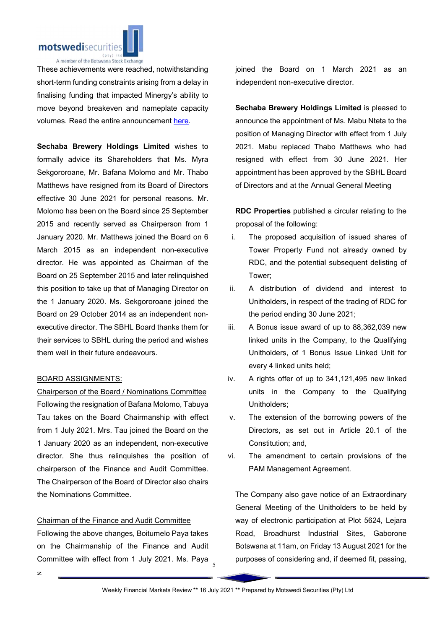

These achievements were reached, notwithstanding short-term funding constraints arising from a delay in finalising funding that impacted Minergy's ability to move beyond breakeven and nameplate capacity volumes. Read the entire announcement here.

Sechaba Brewery Holdings Limited wishes to formally advice its Shareholders that Ms. Myra Sekgororoane, Mr. Bafana Molomo and Mr. Thabo Matthews have resigned from its Board of Directors effective 30 June 2021 for personal reasons. Mr. Molomo has been on the Board since 25 September 2015 and recently served as Chairperson from 1 January 2020. Mr. Matthews joined the Board on 6 March 2015 as an independent non-executive director. He was appointed as Chairman of the Board on 25 September 2015 and later relinquished this position to take up that of Managing Director on the 1 January 2020. Ms. Sekgororoane joined the Board on 29 October 2014 as an independent nonexecutive director. The SBHL Board thanks them for their services to SBHL during the period and wishes them well in their future endeavours.

#### BOARD ASSIGNMENTS:

Chairperson of the Board / Nominations Committee Following the resignation of Bafana Molomo, Tabuya Tau takes on the Board Chairmanship with effect from 1 July 2021. Mrs. Tau joined the Board on the 1 January 2020 as an independent, non-executive director. She thus relinquishes the position of chairperson of the Finance and Audit Committee. The Chairperson of the Board of Director also chairs the Nominations Committee.

#### Chairman of the Finance and Audit Committee

Committee with effect from 1 July 2021. Ms. Paya  $\frac{1}{5}$ Following the above changes, Boitumelo Paya takes on the Chairmanship of the Finance and Audit

joined the Board on 1 March 2021 as an independent non-executive director.

Sechaba Brewery Holdings Limited is pleased to announce the appointment of Ms. Mabu Nteta to the position of Managing Director with effect from 1 July 2021. Mabu replaced Thabo Matthews who had resigned with effect from 30 June 2021. Her appointment has been approved by the SBHL Board of Directors and at the Annual General Meeting

RDC Properties published a circular relating to the proposal of the following:

- i. The proposed acquisition of issued shares of Tower Property Fund not already owned by RDC, and the potential subsequent delisting of Tower;
- ii. A distribution of dividend and interest to Unitholders, in respect of the trading of RDC for the period ending 30 June 2021;
- iii. A Bonus issue award of up to 88,362,039 new linked units in the Company, to the Qualifying Unitholders, of 1 Bonus Issue Linked Unit for every 4 linked units held;
- iv. A rights offer of up to 341,121,495 new linked units in the Company to the Qualifying Unitholders;
- v. The extension of the borrowing powers of the Directors, as set out in Article 20.1 of the Constitution; and,
- vi. The amendment to certain provisions of the PAM Management Agreement.

The Company also gave notice of an Extraordinary General Meeting of the Unitholders to be held by way of electronic participation at Plot 5624, Lejara Road, Broadhurst Industrial Sites, Gaborone Botswana at 11am, on Friday 13 August 2021 for the purposes of considering and, if deemed fit, passing,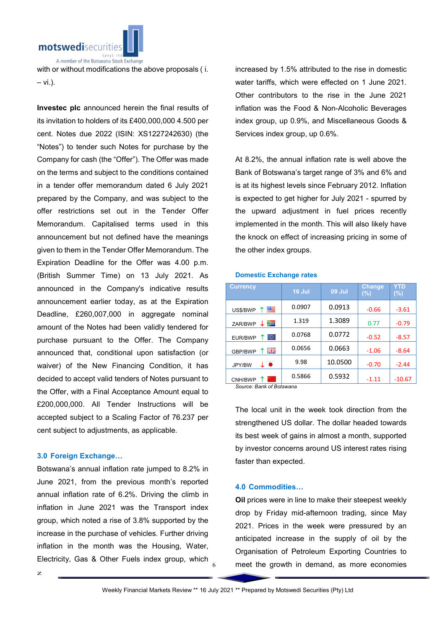

with or without modifications the above proposals ( i. – vi.).

Investec plc announced herein the final results of its invitation to holders of its £400,000,000 4.500 per cent. Notes due 2022 (ISIN: XS1227242630) (the "Notes") to tender such Notes for purchase by the Company for cash (the "Offer"). The Offer was made on the terms and subject to the conditions contained in a tender offer memorandum dated 6 July 2021 prepared by the Company, and was subject to the offer restrictions set out in the Tender Offer Memorandum. Capitalised terms used in this announcement but not defined have the meanings given to them in the Tender Offer Memorandum. The Expiration Deadline for the Offer was 4.00 p.m. (British Summer Time) on 13 July 2021. As announced in the Company's indicative results announcement earlier today, as at the Expiration Deadline, £260,007,000 in aggregate nominal amount of the Notes had been validly tendered for purchase pursuant to the Offer. The Company announced that, conditional upon satisfaction (or waiver) of the New Financing Condition, it has decided to accept valid tenders of Notes pursuant to the Offer, with a Final Acceptance Amount equal to £200,000,000. All Tender Instructions will be accepted subject to a Scaling Factor of 76.237 per cent subject to adjustments, as applicable.

#### 3.0 Foreign Exchange…

Botswana's annual inflation rate jumped to 8.2% in June 2021, from the previous month's reported annual inflation rate of 6.2%. Driving the climb in inflation in June 2021 was the Transport index group, which noted a rise of 3.8% supported by the increase in the purchase of vehicles. Further driving inflation in the month was the Housing, Water, Electricity, Gas & Other Fuels index group, which

increased by 1.5% attributed to the rise in domestic water tariffs, which were effected on 1 June 2021. Other contributors to the rise in the June 2021 inflation was the Food & Non-Alcoholic Beverages index group, up 0.9%, and Miscellaneous Goods & Services index group, up 0.6%.

At 8.2%, the annual inflation rate is well above the Bank of Botswana's target range of 3% and 6% and is at its highest levels since February 2012. Inflation is expected to get higher for July 2021 - spurred by the upward adjustment in fuel prices recently implemented in the month. This will also likely have the knock on effect of increasing pricing in some of the other index groups.

#### Domestic Exchange rates

| <b>Currency</b>                  | 16 Jul | <b>09 Jul</b> | <b>Change</b><br>$(\%)$ | YTD<br>$(\%)$ |
|----------------------------------|--------|---------------|-------------------------|---------------|
| 四日<br>US\$/BWP                   | 0.0907 | 0.0913        | $-0.66$                 | $-3.61$       |
| ≔<br>ZAR/BWP                     | 1.319  | 1.3089        | 0.77                    | $-0.79$       |
| ю<br>EUR/BWP                     | 0.0768 | 0.0772        | $-0.52$                 | $-8.57$       |
| 開業<br>GBP/BWP                    | 0.0656 | 0.0663        | $-1.06$                 | $-8.64$       |
| $\downarrow$ $\bullet$<br>JPY/BW | 9.98   | 10.0500       | $-0.70$                 | $-2.44$       |
| CNH/BWP                          | 0.5866 | 0.5932        | -1.11                   | $-10.67$      |

*Source: Bank of Botswana*

The local unit in the week took direction from the strengthened US dollar. The dollar headed towards its best week of gains in almost a month, supported by investor concerns around US interest rates rising faster than expected.

#### 4.0 Commodities…

Oil prices were in line to make their steepest weekly drop by Friday mid-afternoon trading, since May 2021. Prices in the week were pressured by an anticipated increase in the supply of oil by the Organisation of Petroleum Exporting Countries to meet the growth in demand, as more economies

6